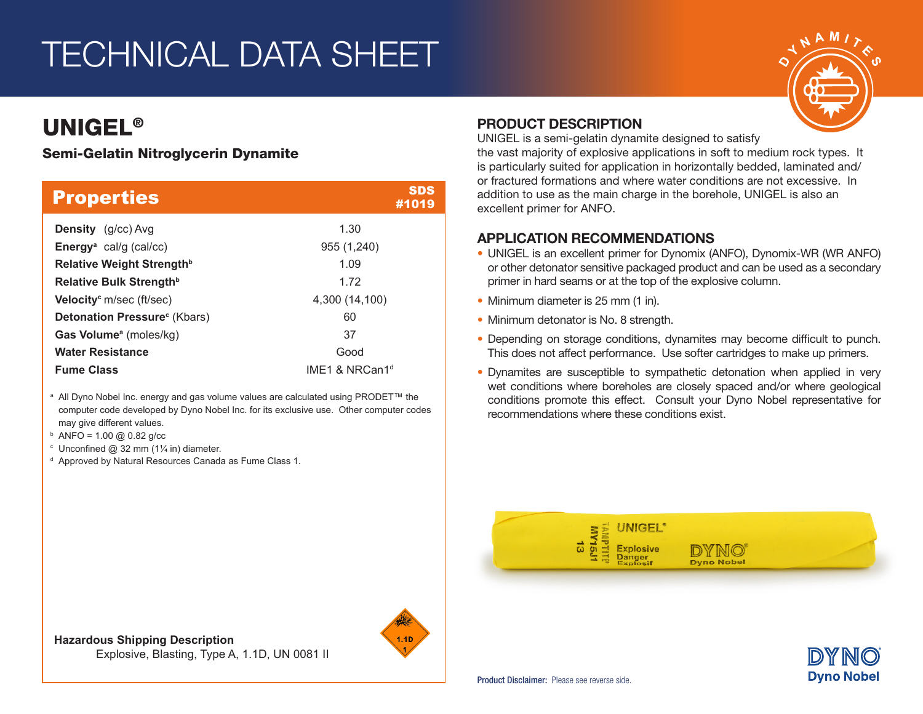# TECHNICAL DATA SHEET

## UNIGEL®

### Semi-Gelatin Nitroglycerin Dynamite

| <b>Properties</b>                         | <b>SDS</b><br>#1019 |
|-------------------------------------------|---------------------|
| <b>Density</b> (g/cc) Avg                 | 1.30                |
| <b>Energy</b> <sup>a</sup> cal/g (cal/cc) | 955 (1,240)         |
| Relative Weight Strength <sup>b</sup>     | 1.09                |
| Relative Bulk Strength <sup>b</sup>       | 1.72                |
| Velocity <sup>c</sup> m/sec (ft/sec)      | 4,300 (14,100)      |
| Detonation Pressure <sup>c</sup> (Kbars)  | 60                  |
| Gas Volume <sup>a</sup> (moles/kg)        | 37                  |
| <b>Water Resistance</b>                   | Good                |
| <b>Fume Class</b>                         | IME1 & NRCan1 $d$   |

<sup>a</sup> All Dyno Nobel Inc. energy and gas volume values are calculated using PRODET™ the computer code developed by Dyno Nobel Inc. for its exclusive use. Other computer codes may give different values.

- $b$  ANFO = 1.00 @ 0.82 g/cc
- $\degree$  Unconfined @ 32 mm (11/4 in) diameter.
- <sup>d</sup> Approved by Natural Resources Canada as Fume Class 1.

### PRODUCT DESCRIPTION

UNIGEL is a semi-gelatin dynamite designed to satisfy

the vast majority of explosive applications in soft to medium rock types. It is particularly suited for application in horizontally bedded, laminated and/ or fractured formations and where water conditions are not excessive. In addition to use as the main charge in the borehole, UNIGEL is also an excellent primer for ANFO.

### APPLICATION RECOMMENDATIONS

- UNIGEL is an excellent primer for Dynomix (ANFO), Dynomix-WR (WR ANFO) or other detonator sensitive packaged product and can be used as a secondary primer in hard seams or at the top of the explosive column.
- Minimum diameter is 25 mm (1 in).
- Minimum detonator is No. 8 strength.
- Depending on storage conditions, dynamites may become difficult to punch. This does not affect performance. Use softer cartridges to make up primers.
- Dynamites are susceptible to sympathetic detonation when applied in very wet conditions where boreholes are closely spaced and/or where geological conditions promote this effect. Consult your Dyno Nobel representative for recommendations where these conditions exist.





**Hazardous Shipping Description** Explosive, Blasting, Type A, 1.1D, UN 0081 II